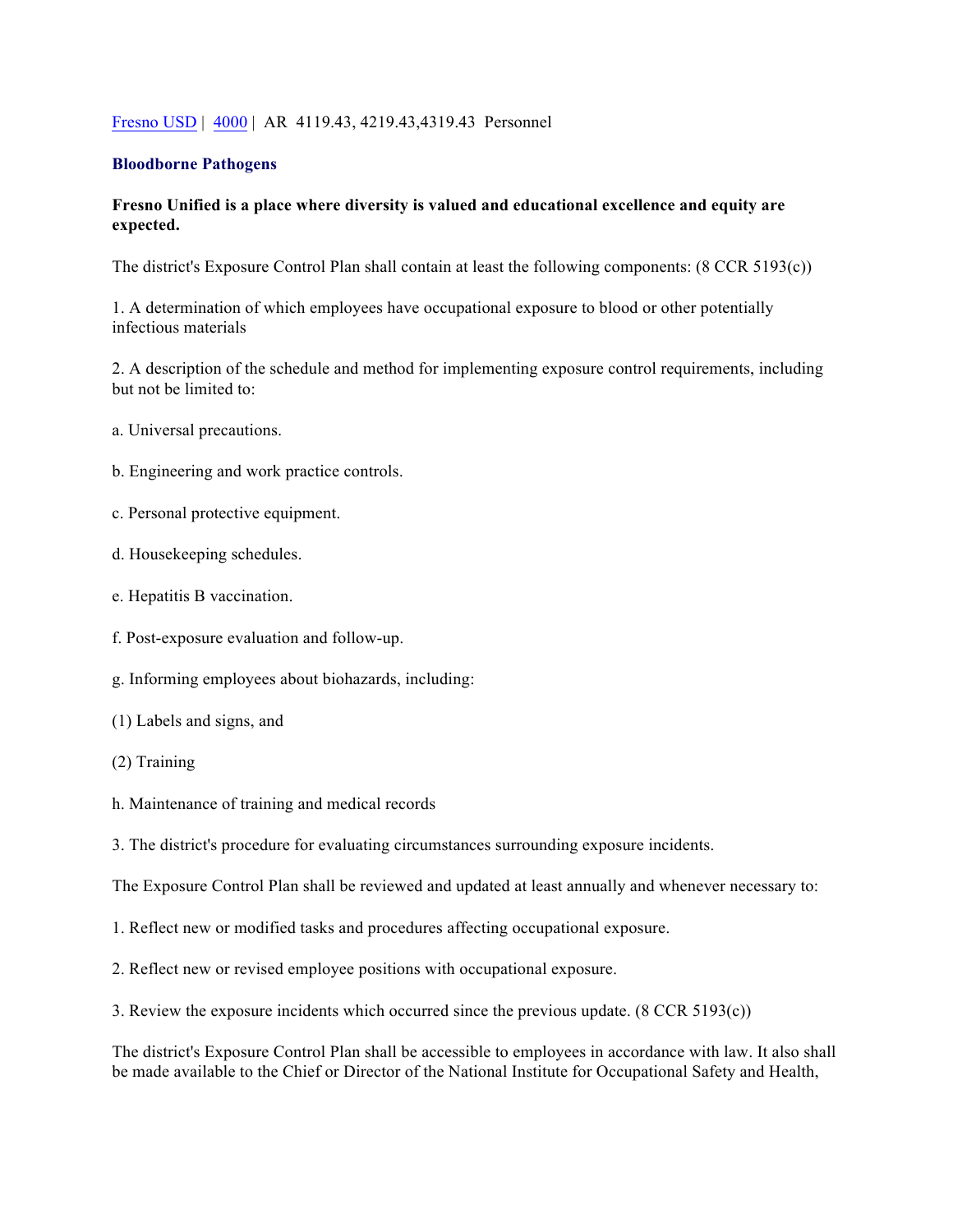## Fresno USD | 4000 | AR 4119.43, 4219.43,4319.43 Personnel

#### **Bloodborne Pathogens**

# **Fresno Unified is a place where diversity is valued and educational excellence and equity are expected.**

The district's Exposure Control Plan shall contain at least the following components: (8 CCR 5193(c))

1. A determination of which employees have occupational exposure to blood or other potentially infectious materials

2. A description of the schedule and method for implementing exposure control requirements, including but not be limited to:

- a. Universal precautions.
- b. Engineering and work practice controls.
- c. Personal protective equipment.
- d. Housekeeping schedules.
- e. Hepatitis B vaccination.
- f. Post-exposure evaluation and follow-up.
- g. Informing employees about biohazards, including:
- (1) Labels and signs, and
- (2) Training
- h. Maintenance of training and medical records
- 3. The district's procedure for evaluating circumstances surrounding exposure incidents.

The Exposure Control Plan shall be reviewed and updated at least annually and whenever necessary to:

- 1. Reflect new or modified tasks and procedures affecting occupational exposure.
- 2. Reflect new or revised employee positions with occupational exposure.
- 3. Review the exposure incidents which occurred since the previous update. (8 CCR 5193(c))

The district's Exposure Control Plan shall be accessible to employees in accordance with law. It also shall be made available to the Chief or Director of the National Institute for Occupational Safety and Health,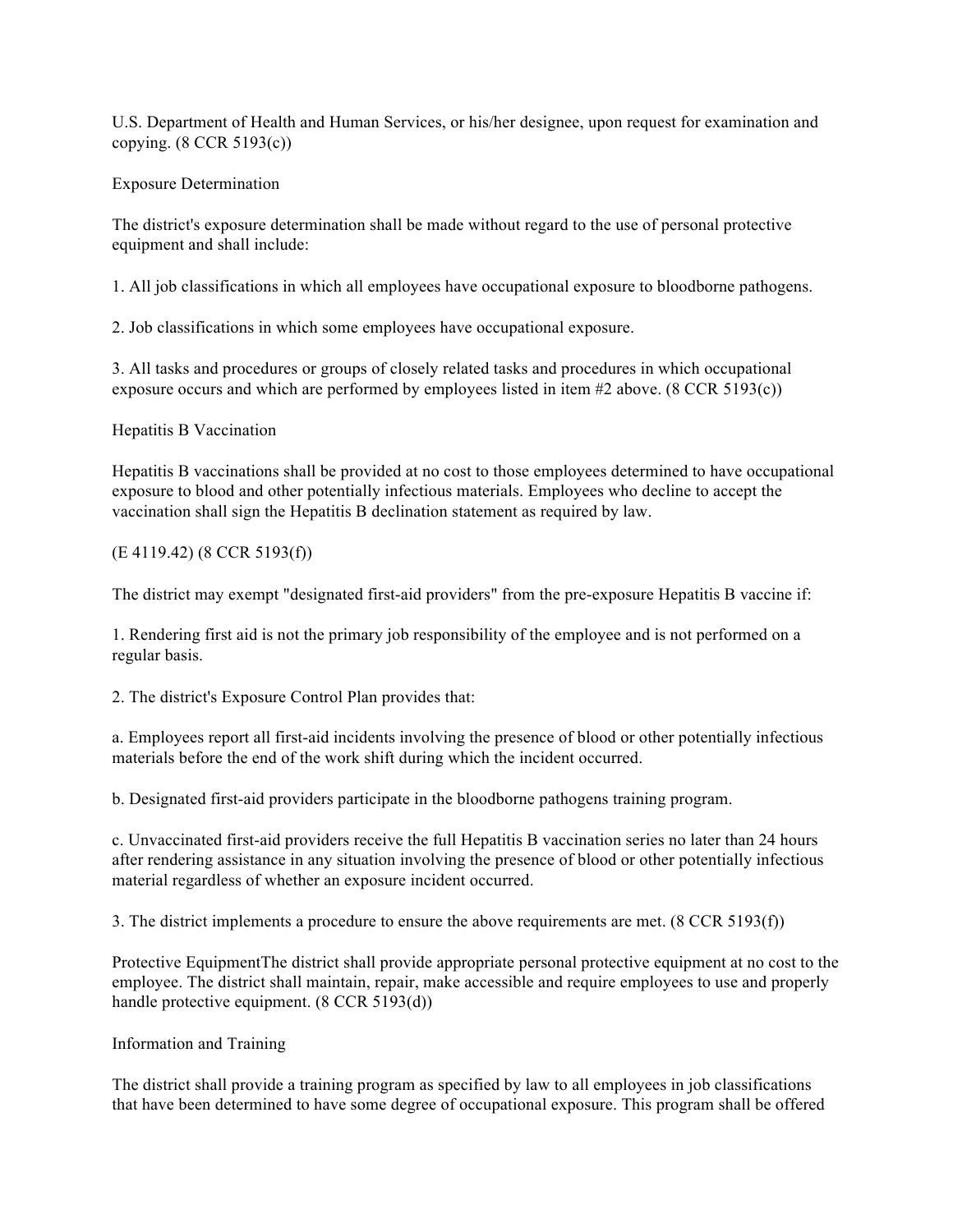U.S. Department of Health and Human Services, or his/her designee, upon request for examination and copying. (8 CCR 5193(c))

# Exposure Determination

The district's exposure determination shall be made without regard to the use of personal protective equipment and shall include:

1. All job classifications in which all employees have occupational exposure to bloodborne pathogens.

2. Job classifications in which some employees have occupational exposure.

3. All tasks and procedures or groups of closely related tasks and procedures in which occupational exposure occurs and which are performed by employees listed in item #2 above. (8 CCR 5193(c))

Hepatitis B Vaccination

Hepatitis B vaccinations shall be provided at no cost to those employees determined to have occupational exposure to blood and other potentially infectious materials. Employees who decline to accept the vaccination shall sign the Hepatitis B declination statement as required by law.

# (E 4119.42) (8 CCR 5193(f))

The district may exempt "designated first-aid providers" from the pre-exposure Hepatitis B vaccine if:

1. Rendering first aid is not the primary job responsibility of the employee and is not performed on a regular basis.

2. The district's Exposure Control Plan provides that:

a. Employees report all first-aid incidents involving the presence of blood or other potentially infectious materials before the end of the work shift during which the incident occurred.

b. Designated first-aid providers participate in the bloodborne pathogens training program.

c. Unvaccinated first-aid providers receive the full Hepatitis B vaccination series no later than 24 hours after rendering assistance in any situation involving the presence of blood or other potentially infectious material regardless of whether an exposure incident occurred.

3. The district implements a procedure to ensure the above requirements are met. (8 CCR 5193(f))

Protective EquipmentThe district shall provide appropriate personal protective equipment at no cost to the employee. The district shall maintain, repair, make accessible and require employees to use and properly handle protective equipment. (8 CCR 5193(d))

## Information and Training

The district shall provide a training program as specified by law to all employees in job classifications that have been determined to have some degree of occupational exposure. This program shall be offered